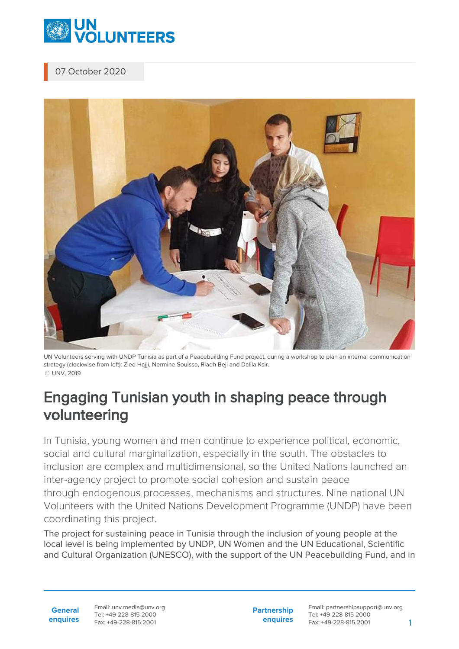

## 07 October 2020



UN Volunteers serving with UNDP Tunisia as part of a Peacebuilding Fund project, during a workshop to plan an internal communication strategy (clockwise from left): Zied Hajji, Nermine Souissa, Riadh Beji and Dalila Ksir. © UNV, 2019

## Engaging Tunisian youth in shaping peace through volunteering

In Tunisia, young women and men continue to experience political, economic, social and cultural marginalization, especially in the south. The obstacles to inclusion are complex and multidimensional, so the United Nations launched an inter-agency project to promote social cohesion and sustain peace through endogenous processes, mechanisms and structures. Nine national UN Volunteers with the United Nations Development Programme (UNDP) have been coordinating this project.

The project for sustaining peace in Tunisia through the inclusion of young people at the local level is being implemented by UNDP, UN Women and the UN Educational, Scientific and Cultural Organization (UNESCO), with the support of the UN Peacebuilding Fund, and in

**General enquires** Email: unv.media@unv.org Tel: +49-228-815 2000 Fax: +49-228-815 2001

**Partnership enquires** Email: partnershipsupport@unv.org Tel: +49-228-815 2000 Fax: +49-228-815 2001 1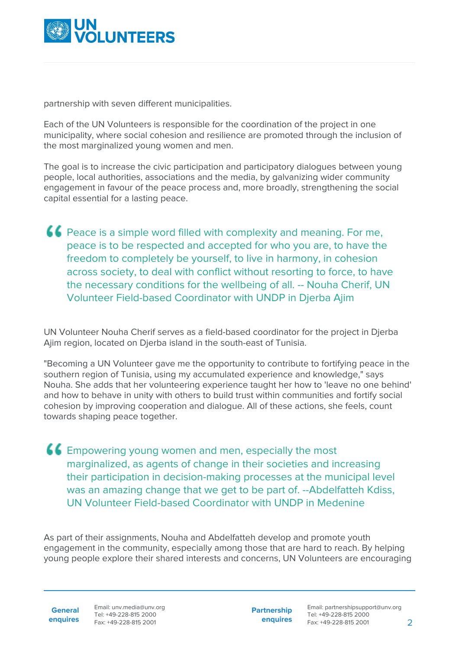

partnership with seven different municipalities.

Each of the UN Volunteers is responsible for the coordination of the project in one municipality, where social cohesion and resilience are promoted through the inclusion of the most marginalized young women and men.

The goal is to increase the civic participation and participatory dialogues between young people, local authorities, associations and the media, by galvanizing wider community engagement in favour of the peace process and, more broadly, strengthening the social capital essential for a lasting peace.

Peace is a simple word filled with complexity and meaning. For me, peace is to be respected and accepted for who you are, to have the freedom to completely be yourself, to live in harmony, in cohesion across society, to deal with conflict without resorting to force, to have the necessary conditions for the wellbeing of all. -- Nouha Cherif, UN Volunteer Field-based Coordinator with UNDP in Djerba Ajim

UN Volunteer Nouha Cherif serves as a field-based coordinator for the project in Djerba Ajim region, located on Djerba island in the south-east of Tunisia.

"Becoming a UN Volunteer gave me the opportunity to contribute to fortifying peace in the southern region of Tunisia, using my accumulated experience and knowledge," says Nouha. She adds that her volunteering experience taught her how to 'leave no one behind' and how to behave in unity with others to build trust within communities and fortify social cohesion by improving cooperation and dialogue. All of these actions, she feels, count towards shaping peace together.

Empowering young women and men, especially the most marginalized, as agents of change in their societies and increasing their participation in decision-making processes at the municipal level was an amazing change that we get to be part of. --Abdelfatteh Kdiss, UN Volunteer Field-based Coordinator with UNDP in Medenine

As part of their assignments, Nouha and Abdelfatteh develop and promote youth engagement in the community, especially among those that are hard to reach. By helping young people explore their shared interests and concerns, UN Volunteers are encouraging

**General enquires** Email: unv.media@unv.org Tel: +49-228-815 2000 Fax: +49-228-815 2001

**Partnership enquires**

Email: partnershipsupport@unv.org Tel: +49-228-815 2000 Fax: +49-228-815 2001 2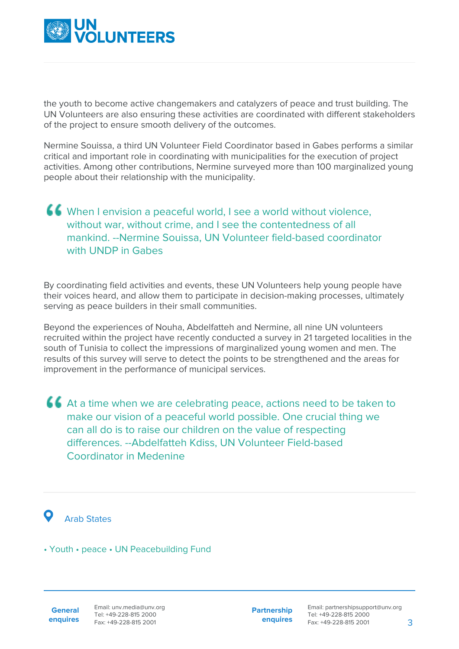

the youth to become active changemakers and catalyzers of peace and trust building. The UN Volunteers are also ensuring these activities are coordinated with different stakeholders of the project to ensure smooth delivery of the outcomes.

Nermine Souissa, a third UN Volunteer Field Coordinator based in Gabes performs a similar critical and important role in coordinating with municipalities for the execution of project activities. Among other contributions, Nermine surveyed more than 100 marginalized young people about their relationship with the municipality.

## When I envision a peaceful world, I see a world without violence, without war, without crime, and I see the contentedness of all mankind. --Nermine Souissa, UN Volunteer field-based coordinator with UNDP in Gabes

By coordinating field activities and events, these UN Volunteers help young people have their voices heard, and allow them to participate in decision-making processes, ultimately serving as peace builders in their small communities.

Beyond the experiences of Nouha, Abdelfatteh and Nermine, all nine UN volunteers recruited within the project have recently conducted a survey in 21 targeted localities in the south of Tunisia to collect the impressions of marginalized young women and men. The results of this survey will serve to detect the points to be strengthened and the areas for improvement in the performance of municipal services.

At a time when we are celebrating peace, actions need to be taken to make our vision of a peaceful world possible. One crucial thing we can all do is to raise our children on the value of respecting differences. --Abdelfatteh Kdiss, UN Volunteer Field-based Coordinator in Medenine



## **O** Arab States

• Youth • peace • UN Peacebuilding Fund

**General enquires** **Partnership enquires**